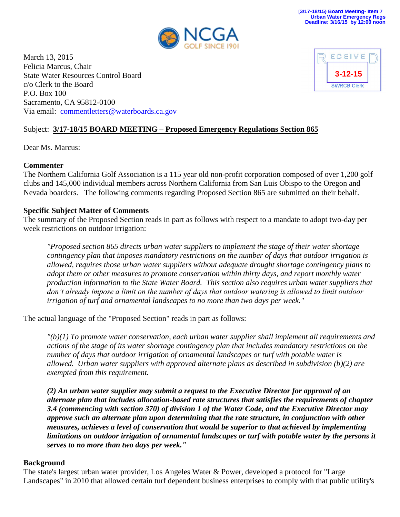

March 13, 2015 Felicia Marcus, Chair State Water Resources Control Board c/o Clerk to the Board P.O. Box 100 Sacramento, CA 95812-0100 Via email: [commentletters@waterboards.ca.gov](mailto:commentletters@waterboards.ca.gov)



# Subject: **3/17-18/15 BOARD MEETING – Proposed Emergency Regulations Section 865**

Dear Ms. Marcus:

### **Commenter**

The Northern California Golf Association is a 115 year old non-profit corporation composed of over 1,200 golf clubs and 145,000 individual members across Northern California from San Luis Obispo to the Oregon and Nevada boarders. The following comments regarding Proposed Section 865 are submitted on their behalf.

### **Specific Subject Matter of Comments**

The summary of the Proposed Section reads in part as follows with respect to a mandate to adopt two-day per week restrictions on outdoor irrigation:

*"Proposed section 865 directs urban water suppliers to implement the stage of their water shortage contingency plan that imposes mandatory restrictions on the number of days that outdoor irrigation is allowed, requires those urban water suppliers without adequate drought shortage contingency plans to adopt them or other measures to promote conservation within thirty days, and report monthly water production information to the State Water Board. This section also requires urban water suppliers that don't already impose a limit on the number of days that outdoor watering is allowed to limit outdoor irrigation of turf and ornamental landscapes to no more than two days per week."*

The actual language of the "Proposed Section" reads in part as follows:

*"(b)(1) To promote water conservation, each urban water supplier shall implement all requirements and actions of the stage of its water shortage contingency plan that includes mandatory restrictions on the number of days that outdoor irrigation of ornamental landscapes or turf with potable water is allowed. Urban water suppliers with approved alternate plans as described in subdivision (b)(2) are exempted from this requirement.* 

*(2) An urban water supplier may submit a request to the Executive Director for approval of an alternate plan that includes allocation-based rate structures that satisfies the requirements of chapter 3.4 (commencing with section 370) of division 1 of the Water Code, and the Executive Director may approve such an alternate plan upon determining that the rate structure, in conjunction with other measures, achieves a level of conservation that would be superior to that achieved by implementing limitations on outdoor irrigation of ornamental landscapes or turf with potable water by the persons it serves to no more than two days per week."*

#### **Background**

The state's largest urban water provider, Los Angeles Water & Power, developed a protocol for "Large Landscapes" in 2010 that allowed certain turf dependent business enterprises to comply with that public utility's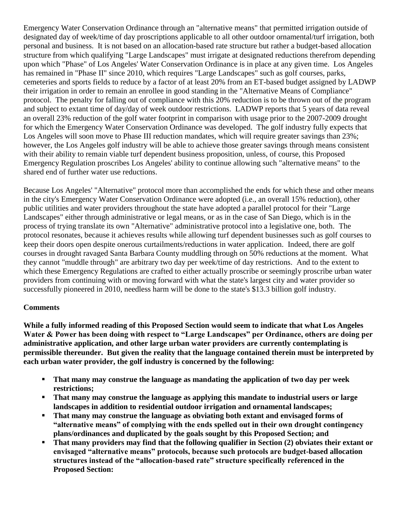Emergency Water Conservation Ordinance through an "alternative means" that permitted irrigation outside of designated day of week/time of day proscriptions applicable to all other outdoor ornamental/turf irrigation, both personal and business. It is not based on an allocation-based rate structure but rather a budget-based allocation structure from which qualifying "Large Landscapes" must irrigate at designated reductions therefrom depending upon which "Phase" of Los Angeles' Water Conservation Ordinance is in place at any given time. Los Angeles has remained in "Phase II" since 2010, which requires "Large Landscapes" such as golf courses, parks, cemeteries and sports fields to reduce by a factor of at least 20% from an ET-based budget assigned by LADWP their irrigation in order to remain an enrollee in good standing in the "Alternative Means of Compliance" protocol. The penalty for falling out of compliance with this 20% reduction is to be thrown out of the program and subject to extant time of day/day of week outdoor restrictions. LADWP reports that 5 years of data reveal an overall 23% reduction of the golf water footprint in comparison with usage prior to the 2007-2009 drought for which the Emergency Water Conservation Ordinance was developed. The golf industry fully expects that Los Angeles will soon move to Phase III reduction mandates, which will require greater savings than 23%; however, the Los Angeles golf industry will be able to achieve those greater savings through means consistent with their ability to remain viable turf dependent business proposition, unless, of course, this Proposed Emergency Regulation proscribes Los Angeles' ability to continue allowing such "alternative means" to the shared end of further water use reductions.

Because Los Angeles' "Alternative" protocol more than accomplished the ends for which these and other means in the city's Emergency Water Conservation Ordinance were adopted (i.e., an overall 15% reduction), other public utilities and water providers throughout the state have adopted a parallel protocol for their "Large Landscapes" either through administrative or legal means, or as in the case of San Diego, which is in the process of trying translate its own "Alternative" administrative protocol into a legislative one, both. The protocol resonates, because it achieves results while allowing turf dependent businesses such as golf courses to keep their doors open despite onerous curtailments/reductions in water application. Indeed, there are golf courses in drought ravaged Santa Barbara County muddling through on 50% reductions at the moment. What they cannot "muddle through" are arbitrary two day per week/time of day restrictions. And to the extent to which these Emergency Regulations are crafted to either actually proscribe or seemingly proscribe urban water providers from continuing with or moving forward with what the state's largest city and water provider so successfully pioneered in 2010, needless harm will be done to the state's \$13.3 billion golf industry.

## **Comments**

**While a fully informed reading of this Proposed Section would seem to indicate that what Los Angeles Water & Power has been doing with respect to "Large Landscapes" per Ordinance, others are doing per administrative application, and other large urban water providers are currently contemplating is permissible thereunder. But given the reality that the language contained therein must be interpreted by each urban water provider, the golf industry is concerned by the following:**

- **That many may construe the language as mandating the application of two day per week restrictions;**
- **That many may construe the language as applying this mandate to industrial users or large landscapes in addition to residential outdoor irrigation and ornamental landscapes;**
- **That many may construe the language as obviating both extant and envisaged forms of "alternative means" of complying with the ends spelled out in their own drought contingency plans/ordinances and duplicated by the goals sought by this Proposed Section; and**
- **That many providers may find that the following qualifier in Section (2) obviates their extant or envisaged "alternative means" protocols, because such protocols are budget-based allocation structures instead of the "allocation-based rate" structure specifically referenced in the Proposed Section:**